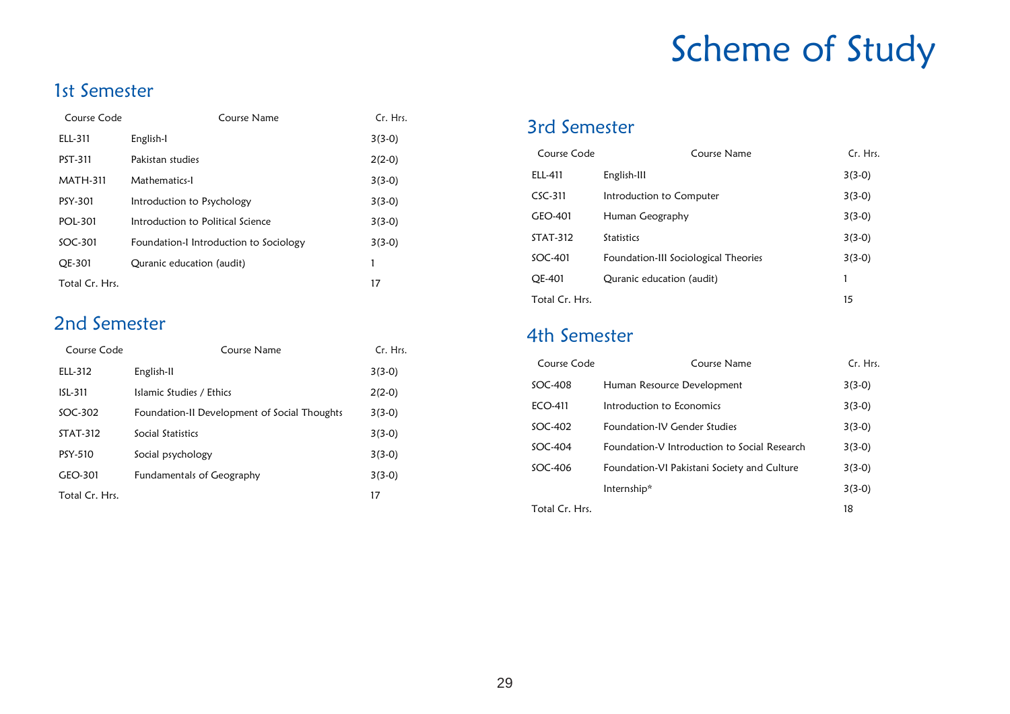# Scheme of Study

## 1st Semester

| Course Code     | Course Name                            | Cr. Hrs. |
|-----------------|----------------------------------------|----------|
| ELL-311         | English-I                              | $3(3-0)$ |
| PST-311         | Pakistan studies                       | $2(2-0)$ |
| <b>MATH-311</b> | Mathematics-I                          | $3(3-0)$ |
| PSY-301         | Introduction to Psychology             | $3(3-0)$ |
| POI-301         | Introduction to Political Science      | $3(3-0)$ |
| SOC-301         | Foundation-I Introduction to Sociology | $3(3-0)$ |
| <b>OE-301</b>   | Quranic education (audit)              | 1        |
| Total Cr. Hrs.  |                                        | 17       |

### 2nd Semester

| Course Code    | Course Name                                  | Cr. Hrs. |
|----------------|----------------------------------------------|----------|
| ELL-312        | English-II                                   | $3(3-0)$ |
| ISL-311        | Islamic Studies / Ethics                     | $2(2-0)$ |
| $SOC-302$      | Foundation-II Development of Social Thoughts | $3(3-0)$ |
| STAT-312       | Social Statistics                            | $3(3-0)$ |
| PSY-510        | Social psychology                            | $3(3-0)$ |
| GEO-301        | Fundamentals of Geography                    | $3(3-0)$ |
| Total Cr. Hrs. |                                              | 17       |

#### 3rd Semester

| Course Code     | Course Name                          | Cr. Hrs. |
|-----------------|--------------------------------------|----------|
| ELL-411         | English-III                          | $3(3-0)$ |
| $CSC-311$       | Introduction to Computer             | $3(3-0)$ |
| GEO-401         | Human Geography                      | $3(3-0)$ |
| <b>STAT-312</b> | <b>Statistics</b>                    | $3(3-0)$ |
| $SOC-401$       | Foundation-III Sociological Theories | $3(3-0)$ |
| OE-401          | Quranic education (audit)            |          |
| Total Cr. Hrs.  |                                      | 15       |

#### 4th Semester

| Course Code    | Course Name                                  | Cr. Hrs. |
|----------------|----------------------------------------------|----------|
| SOC-408        | Human Resource Development                   | $3(3-0)$ |
| FCO-411        | Introduction to Economics                    | $3(3-0)$ |
| $SOC-402$      | Foundation-IV Gender Studies                 | $3(3-0)$ |
| $SOC-404$      | Foundation-V Introduction to Social Research | $3(3-0)$ |
| $SOC-406$      | Foundation-VI Pakistani Society and Culture  | $3(3-0)$ |
|                | Internship*                                  | $3(3-0)$ |
| Total Cr. Hrs. |                                              | 18       |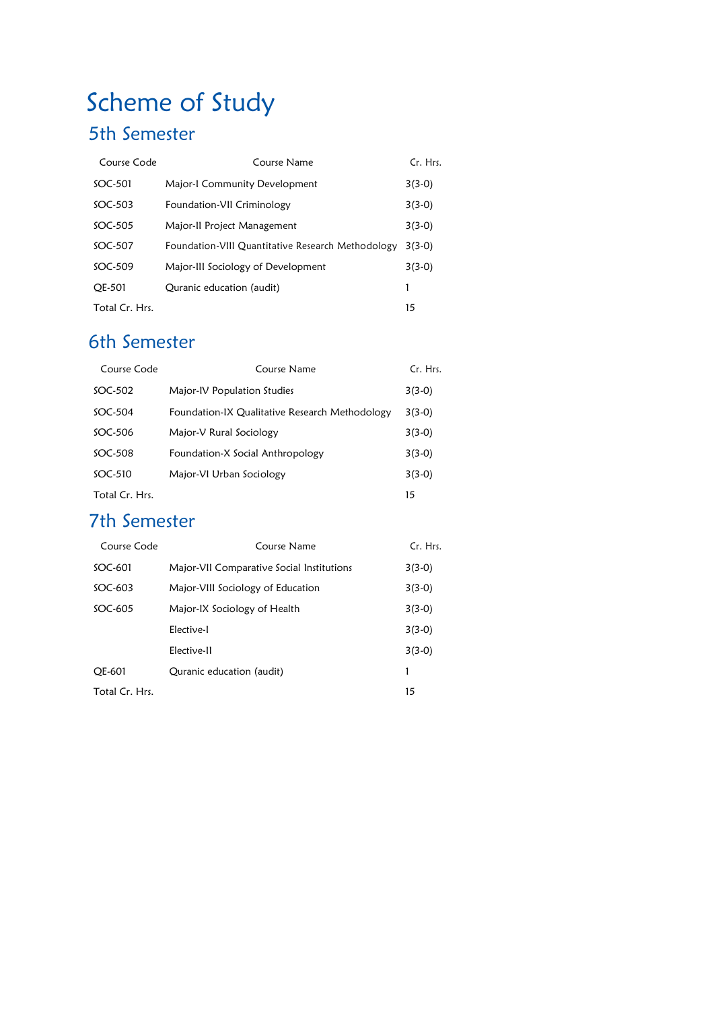## Scheme of Study

## 5th Semester

| Course Code    | Course Name                                       | Cr. Hrs. |
|----------------|---------------------------------------------------|----------|
| SOC-501        | Major-I Community Development                     | $3(3-0)$ |
| $SOC-503$      | Foundation-VII Criminology                        | $3(3-0)$ |
| $SOC-505$      | Major-II Project Management                       | $3(3-0)$ |
| $SOC-507$      | Foundation-VIII Quantitative Research Methodology | $3(3-0)$ |
| $SOC-509$      | Major-III Sociology of Development                | $3(3-0)$ |
| <b>OE-501</b>  | Quranic education (audit)                         |          |
| Total Cr. Hrs. |                                                   | 15       |

## 6th Semester

| Course Code    | Course Name                                    | Cr. Hrs. |
|----------------|------------------------------------------------|----------|
| $SOC-502$      | Major-IV Population Studies                    | $3(3-0)$ |
| $SOC-504$      | Foundation-IX Qualitative Research Methodology | $3(3-0)$ |
| SOC-506        | Major-V Rural Sociology                        | $3(3-0)$ |
| $SOC-508$      | Foundation-X Social Anthropology               | $3(3-0)$ |
| $SOC-510$      | Major-VI Urban Sociology                       | $3(3-0)$ |
| Total Cr. Hrs. |                                                | 15       |

### 7th Semester

| Course Code    | Course Name                                   | Cr. Hrs. |
|----------------|-----------------------------------------------|----------|
| SOC-601        | Major-VII Comparative Social Institutions     | $3(3-0)$ |
| $SOC-603$      | Major-VIII Sociology of Education<br>$3(3-0)$ |          |
| $SOC-605$      | Major-IX Sociology of Health                  | $3(3-0)$ |
|                | Elective-I                                    | $3(3-0)$ |
|                | Elective-II                                   | $3(3-0)$ |
| OE-601         | Quranic education (audit)                     |          |
| Total Cr. Hrs. |                                               | 15       |